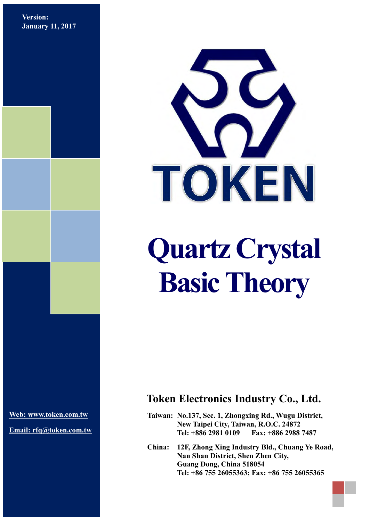**Version: January 11, 2017**



# **Quartz Crystal Basic Theory**

**[Web: www.token.com.tw](http://www.token.com.tw/)**

**Email: rfq@token.com.tw**

## **Token Electronics Industry Co., Ltd.**

**Taiwan: No.137, Sec. 1, Zhongxing Rd., Wugu District, New Taipei City, Taiwan, R.O.C. 24872 Tel: +886 2981 0109 Fax: +886 2988 7487**

**China: 12F, Zhong Xing Industry Bld., Chuang Ye Road, Nan Shan District, Shen Zhen City, Guang Dong, China 518054 Tel: +86 755 26055363; Fax: +86 755 26055365**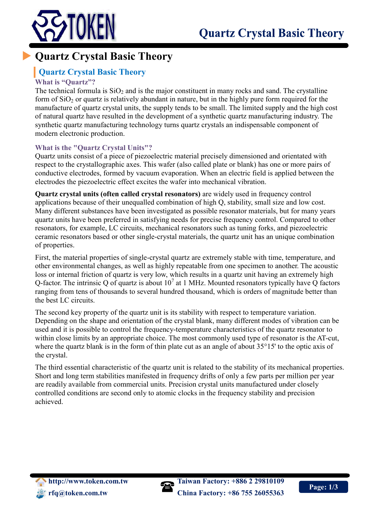

# **Quartz Crystal Basic Theory**

### **Quartz Crystal Basic Theory**

#### **What is "Quartz"?**

The technical formula is  $SiO<sub>2</sub>$  and is the major constituent in many rocks and sand. The crystalline form of  $SiO<sub>2</sub>$  or quartz is relatively abundant in nature, but in the highly pure form required for the manufacture of quartz crystal units, the supply tends to be small. The limited supply and the high cost of natural quartz have resulted in the development of a synthetic quartz manufacturing industry. The synthetic quartz manufacturing technology turns quartz crystals an indispensable component of modern electronic production.

#### **What is the "Quartz Crystal Units"?**

Quartz units consist of a piece of piezoelectric material precisely dimensioned and orientated with respect to the crystallographic axes. This wafer (also called plate or blank) has one or more pairs of conductive electrodes, formed by vacuum evaporation. When an electric field is applied between the electrodes the piezoelectric effect excites the wafer into mechanical vibration.

**Quartz crystal units (often called crystal resonators)** are widely used in frequency control applications because of their unequalled combination of high Q, stability, small size and low cost. Many different substances have been investigated as possible resonator materials, but for many years quartz units have been preferred in satisfying needs for precise frequency control. Compared to other resonators, for example, LC circuits, mechanical resonators such as tuning forks, and piezoelectric ceramic resonators based or other single-crystal materials, the quartz unit has an unique combination of properties.

First, the material properties of single-crystal quartz are extremely stable with time, temperature, and other environmental changes, as well as highly repeatable from one specimen to another. The acoustic loss or internal friction of quartz is very low, which results in a quartz unit having an extremely high Q-factor. The intrinsic Q of quartz is about  $10^7$  at 1 MHz. Mounted resonators typically have Q factors ranging from tens of thousands to several hundred thousand, which is orders of magnitude better than the best LC circuits.

The second key property of the quartz unit is its stability with respect to temperature variation. Depending on the shape and orientation of the crystal blank, many different modes of vibration can be used and it is possible to control the frequency-temperature characteristics of the quartz resonator to within close limits by an appropriate choice. The most commonly used type of resonator is the AT-cut, where the quartz blank is in the form of thin plate cut as an angle of about 35°15' to the optic axis of the crystal.

The third essential characteristic of the quartz unit is related to the stability of its mechanical properties. Short and long term stabilities manifested in frequency drifts of only a few parts per million per year are readily available from commercial units. Precision crystal units manufactured under closely controlled conditions are second only to atomic clocks in the frequency stability and precision achieved.

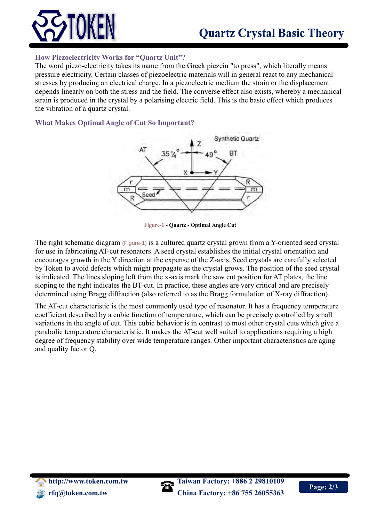

#### **How Piezoelectricity Works for "Quartz Unit"?**

The word piezo-electricity takes its name from the Greek piezein "to press", which literally means pressure electricity. Certain classes of piezoelectric materials will in general react to any mechanical stresses by producing an electrical charge. In a piezoelectric medium the strain or the displacement depends linearly on both the stress and the field. The converse effect also exists, whereby a mechanical strain is produced in the crystal by a polarising electric field. This is the basic effect which produces the vibration of a quartz crystal.

#### **What Makes Optimal Angle of Cut So Important?**



**Figure-1 - Quartz - Optimal Angle Cut**

The right schematic diagram (Figure-1) is a cultured quartz crystal grown from a Y-oriented seed crystal for use in fabricating AT-cut resonators. A seed crystal establishes the initial crystal orientation and encourages growth in the Y direction at the expense of the Z-axis. Seed crystals are carefully selected by Token to avoid defects which might propagate as the crystal grows. The position of the seed crystal is indicated. The lines sloping left from the x-axis mark the saw cut position for AT plates, the line sloping to the right indicates the BT-cut. In practice, these angles are very critical and are precisely determined using Bragg diffraction (also referred to as the Bragg formulation of X-ray diffraction).

The AT-cut characteristic is the most commonly used type of resonator. It has a frequency temperature coefficient described by a cubic function of temperature, which can be precisely controlled by small variations in the angle of cut. This cubic behavior is in contrast to most other crystal cuts which give a parabolic temperature characteristic. It makes the AT-cut well suited to applications requiring a high degree of frequency stability over wide temperature ranges. Other important characteristics are aging and quality factor Q.